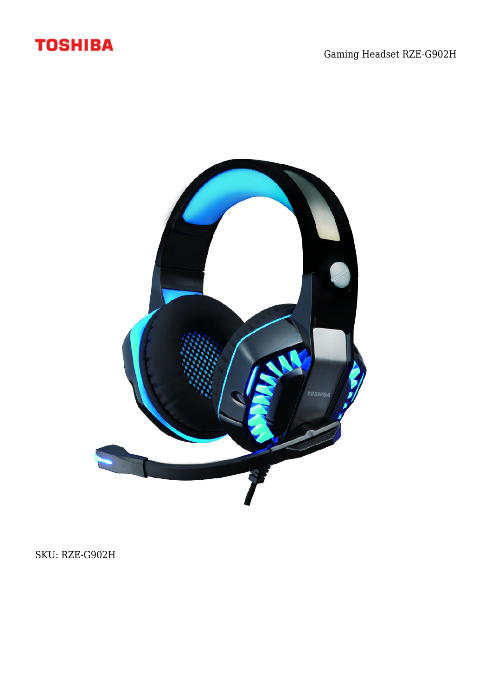



SKU: RZE-G902H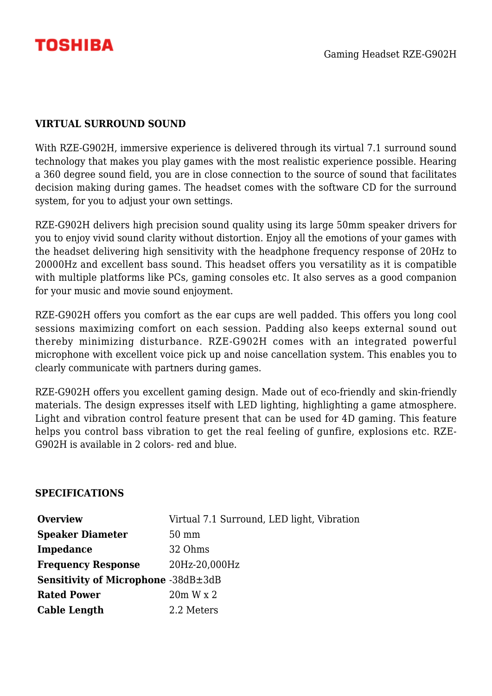

## **VIRTUAL SURROUND SOUND**

With RZE-G902H, immersive experience is delivered through its virtual 7.1 surround sound technology that makes you play games with the most realistic experience possible. Hearing a 360 degree sound field, you are in close connection to the source of sound that facilitates decision making during games. The headset comes with the software CD for the surround system, for you to adjust your own settings.

RZE-G902H delivers high precision sound quality using its large 50mm speaker drivers for you to enjoy vivid sound clarity without distortion. Enjoy all the emotions of your games with the headset delivering high sensitivity with the headphone frequency response of 20Hz to 20000Hz and excellent bass sound. This headset offers you versatility as it is compatible with multiple platforms like PCs, gaming consoles etc. It also serves as a good companion for your music and movie sound enjoyment.

RZE-G902H offers you comfort as the ear cups are well padded. This offers you long cool sessions maximizing comfort on each session. Padding also keeps external sound out thereby minimizing disturbance. RZE-G902H comes with an integrated powerful microphone with excellent voice pick up and noise cancellation system. This enables you to clearly communicate with partners during games.

RZE-G902H offers you excellent gaming design. Made out of eco-friendly and skin-friendly materials. The design expresses itself with LED lighting, highlighting a game atmosphere. Light and vibration control feature present that can be used for 4D gaming. This feature helps you control bass vibration to get the real feeling of gunfire, explosions etc. RZE-G902H is available in 2 colors- red and blue.

## **SPECIFICATIONS**

| <b>Overview</b>                                  | Virtual 7.1 Surround, LED light, Vibration |
|--------------------------------------------------|--------------------------------------------|
| <b>Speaker Diameter</b>                          | $50 \text{ mm}$                            |
| Impedance                                        | 32 Ohms                                    |
| <b>Frequency Response</b>                        | 20Hz-20,000Hz                              |
| <b>Sensitivity of Microphone</b> -38dB $\pm$ 3dB |                                            |
| <b>Rated Power</b>                               | 20m W x 2                                  |
| <b>Cable Length</b>                              | 2.2 Meters                                 |